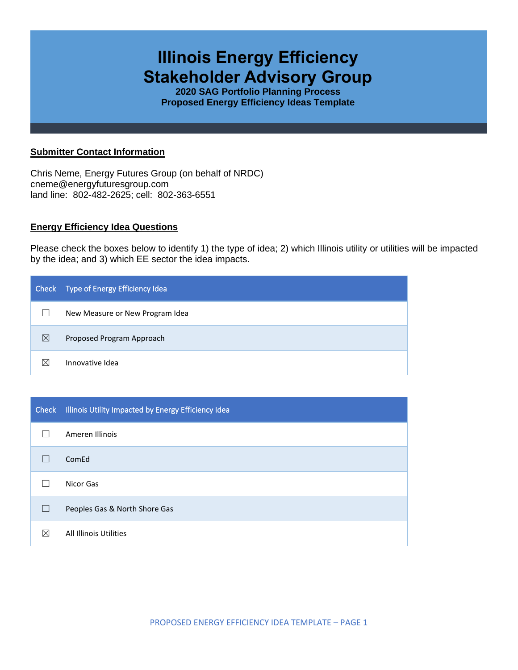# **Illinois Energy Efficiency Stakeholder Advisory Group**

**2020 SAG Portfolio Planning Process Proposed Energy Efficiency Ideas Template**

### **Submitter Contact Information**

Chris Neme, Energy Futures Group (on behalf of NRDC) cneme@energyfuturesgroup.com land line: 802-482-2625; cell: 802-363-6551

# **Energy Efficiency Idea Questions**

Please check the boxes below to identify 1) the type of idea; 2) which Illinois utility or utilities will be impacted by the idea; and 3) which EE sector the idea impacts.

| Check       | Type of Energy Efficiency Idea  |
|-------------|---------------------------------|
|             | New Measure or New Program Idea |
| $\boxtimes$ | Proposed Program Approach       |
| ⊠           | Innovative Idea                 |

| <b>Check</b> | Illinois Utility Impacted by Energy Efficiency Idea |
|--------------|-----------------------------------------------------|
|              | Ameren Illinois                                     |
| $\mathbf{I}$ | ComEd                                               |
|              | Nicor Gas                                           |
| $\Box$       | Peoples Gas & North Shore Gas                       |
| ⊠            | All Illinois Utilities                              |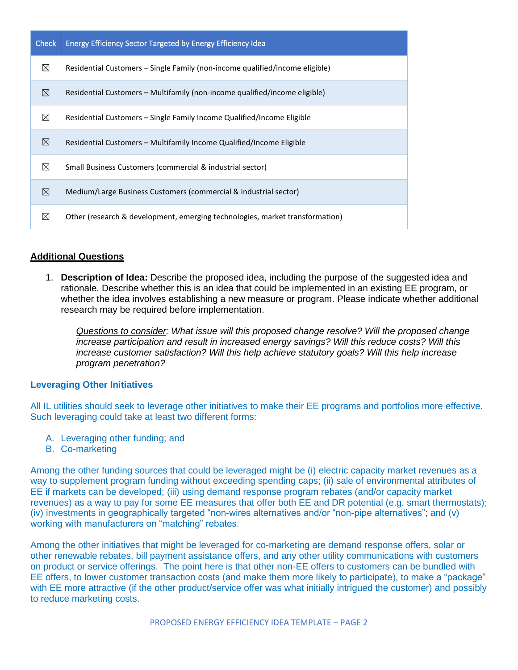| <b>Check</b> | Energy Efficiency Sector Targeted by Energy Efficiency Idea                  |
|--------------|------------------------------------------------------------------------------|
| $\boxtimes$  | Residential Customers – Single Family (non-income qualified/income eligible) |
| $\boxtimes$  | Residential Customers – Multifamily (non-income qualified/income eligible)   |
| $\boxtimes$  | Residential Customers – Single Family Income Qualified/Income Eligible       |
| $\boxtimes$  | Residential Customers – Multifamily Income Qualified/Income Eligible         |
| ⊠            | Small Business Customers (commercial & industrial sector)                    |
| $\boxtimes$  | Medium/Large Business Customers (commercial & industrial sector)             |
| ⊠            | Other (research & development, emerging technologies, market transformation) |

# **Additional Questions**

1. **Description of Idea:** Describe the proposed idea, including the purpose of the suggested idea and rationale. Describe whether this is an idea that could be implemented in an existing EE program, or whether the idea involves establishing a new measure or program. Please indicate whether additional research may be required before implementation.

*Questions to consider: What issue will this proposed change resolve? Will the proposed change increase participation and result in increased energy savings? Will this reduce costs? Will this increase customer satisfaction? Will this help achieve statutory goals? Will this help increase program penetration?* 

# **Leveraging Other Initiatives**

All IL utilities should seek to leverage other initiatives to make their EE programs and portfolios more effective. Such leveraging could take at least two different forms:

- A. Leveraging other funding; and
- B. Co-marketing

Among the other funding sources that could be leveraged might be (i) electric capacity market revenues as a way to supplement program funding without exceeding spending caps; (ii) sale of environmental attributes of EE if markets can be developed; (iii) using demand response program rebates (and/or capacity market revenues) as a way to pay for some EE measures that offer both EE and DR potential (e.g. smart thermostats); (iv) investments in geographically targeted "non-wires alternatives and/or "non-pipe alternatives"; and (v) working with manufacturers on "matching" rebates.

Among the other initiatives that might be leveraged for co-marketing are demand response offers, solar or other renewable rebates, bill payment assistance offers, and any other utility communications with customers on product or service offerings. The point here is that other non-EE offers to customers can be bundled with EE offers, to lower customer transaction costs (and make them more likely to participate), to make a "package" with EE more attractive (if the other product/service offer was what initially intrigued the customer) and possibly to reduce marketing costs.